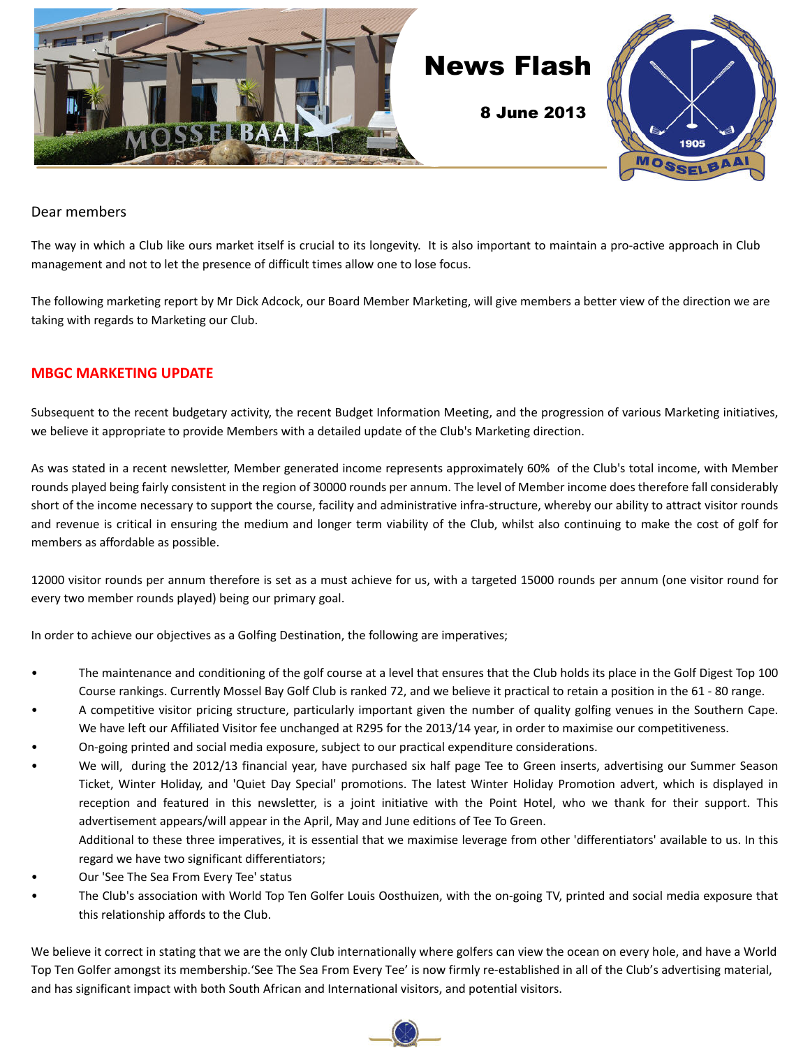

### Dear members

The way in which a Club like ours market itself is crucial to its longevity. It is also important to maintain a pro-active approach in Club management and not to let the presence of difficult times allow one to lose focus.

The following marketing report by Mr Dick Adcock, our Board Member Marketing, will give members a better view of the direction we are taking with regards to Marketing our Club.

## **MBGC MARKETING UPDATE**

Subsequent to the recent budgetary activity, the recent Budget Information Meeting, and the progression of various Marketing initiatives, we believe it appropriate to provide Members with a detailed update of the Club's Marketing direction.

As was stated in a recent newsletter, Member generated income represents approximately 60% of the Club's total income, with Member rounds played being fairly consistent in the region of 30000 rounds per annum. The level of Member income does therefore fall considerably short of the income necessary to support the course, facility and administrative infra-structure, whereby our ability to attract visitor rounds and revenue is critical in ensuring the medium and longer term viability of the Club, whilst also continuing to make the cost of golf for members as affordable as possible.

12000 visitor rounds per annum therefore is set as a must achieve for us, with a targeted 15000 rounds per annum (one visitor round for every two member rounds played) being our primary goal.

In order to achieve our objectives as a Golfing Destination, the following are imperatives;

- The maintenance and conditioning of the golf course at a level that ensures that the Club holds its place in the Golf Digest Top 100 Course rankings. Currently Mossel Bay Golf Club is ranked 72, and we believe it practical to retain a position in the 61 - 80 range.
- A competitive visitor pricing structure, particularly important given the number of quality golfing venues in the Southern Cape. We have left our Affiliated Visitor fee unchanged at R295 for the 2013/14 year, in order to maximise our competitiveness.
- On-going printed and social media exposure, subject to our practical expenditure considerations.
- We will, during the 2012/13 financial year, have purchased six half page Tee to Green inserts, advertising our Summer Season Ticket, Winter Holiday, and 'Quiet Day Special' promotions. The latest Winter Holiday Promotion advert, which is displayed in reception and featured in this newsletter, is a joint initiative with the Point Hotel, who we thank for their support. This advertisement appears/will appear in the April, May and June editions of Tee To Green.

 Additional to these three imperatives, it is essential that we maximise leverage from other 'differentiators' available to us. In this regard we have two significant differentiators;

- Our 'See The Sea From Every Tee' status
- The Club's association with World Top Ten Golfer Louis Oosthuizen, with the on-going TV, printed and social media exposure that this relationship affords to the Club.

We believe it correct in stating that we are the only Club internationally where golfers can view the ocean on every hole, and have a World Top Ten Golfer amongst its membership.'See The Sea From Every Tee' is now firmly re-established in all of the Club's advertising material, and has significant impact with both South African and International visitors, and potential visitors.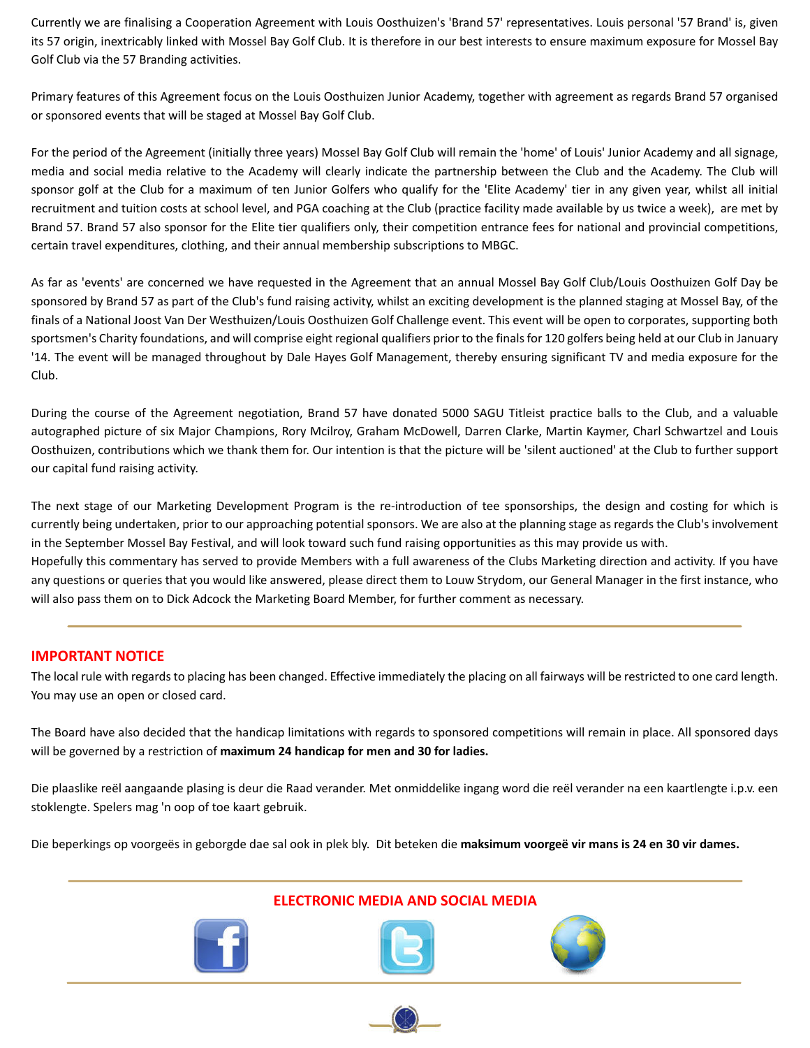Currently we are finalising a Cooperation Agreement with Louis Oosthuizen's 'Brand 57' representatives. Louis personal '57 Brand' is, given its 57 origin, inextricably linked with Mossel Bay Golf Club. It is therefore in our best interests to ensure maximum exposure for Mossel Bay Golf Club via the 57 Branding activities.

Primary features of this Agreement focus on the Louis Oosthuizen Junior Academy, together with agreement as regards Brand 57 organised or sponsored events that will be staged at Mossel Bay Golf Club.

For the period of the Agreement (initially three years) Mossel Bay Golf Club will remain the 'home' of Louis' Junior Academy and all signage, media and social media relative to the Academy will clearly indicate the partnership between the Club and the Academy. The Club will sponsor golf at the Club for a maximum of ten Junior Golfers who qualify for the 'Elite Academy' tier in any given year, whilst all initial recruitment and tuition costs at school level, and PGA coaching at the Club (practice facility made available by us twice a week), are met by Brand 57. Brand 57 also sponsor for the Elite tier qualifiers only, their competition entrance fees for national and provincial competitions, certain travel expenditures, clothing, and their annual membership subscriptions to MBGC.

As far as 'events' are concerned we have requested in the Agreement that an annual Mossel Bay Golf Club/Louis Oosthuizen Golf Day be sponsored by Brand 57 as part of the Club's fund raising activity, whilst an exciting development is the planned staging at Mossel Bay, of the finals of a National Joost Van Der Westhuizen/Louis Oosthuizen Golf Challenge event. This event will be open to corporates, supporting both sportsmen's Charity foundations, and will comprise eight regional qualifiers prior to the finals for 120 golfers being held at our Club in January '14. The event will be managed throughout by Dale Hayes Golf Management, thereby ensuring significant TV and media exposure for the Club.

During the course of the Agreement negotiation, Brand 57 have donated 5000 SAGU Titleist practice balls to the Club, and a valuable autographed picture of six Major Champions, Rory Mcilroy, Graham McDowell, Darren Clarke, Martin Kaymer, Charl Schwartzel and Louis Oosthuizen, contributions which we thank them for. Our intention is that the picture will be 'silent auctioned' at the Club to further support our capital fund raising activity.

The next stage of our Marketing Development Program is the re-introduction of tee sponsorships, the design and costing for which is currently being undertaken, prior to our approaching potential sponsors. We are also at the planning stage as regards the Club's involvement in the September Mossel Bay Festival, and will look toward such fund raising opportunities as this may provide us with. Hopefully this commentary has served to provide Members with a full awareness of the Clubs Marketing direction and activity. If you have any questions or queries that you would like answered, please direct them to Louw Strydom, our General Manager in the first instance, who will also pass them on to Dick Adcock the Marketing Board Member, for further comment as necessary.

## **IMPORTANT NOTICE**

The local rule with regards to placing has been changed. Effective immediately the placing on all fairways will be restricted to one card length. You may use an open or closed card.

The Board have also decided that the handicap limitations with regards to sponsored competitions will remain in place. All sponsored days will be governed by a restriction of **maximum 24 handicap for men and 30 for ladies.**

Die plaaslike reël aangaande plasing is deur die Raad verander. Met onmiddelike ingang word die reël verander na een kaartlengte i.p.v. een stoklengte. Spelers mag 'n oop of toe kaart gebruik.

Die beperkings op voorgeës in geborgde dae sal ook in plek bly. Dit beteken die **maksimum voorgeë vir mans is 24 en 30 vir dames.**

## **ELECTRONIC MEDIA AND SOCIAL MEDIA**





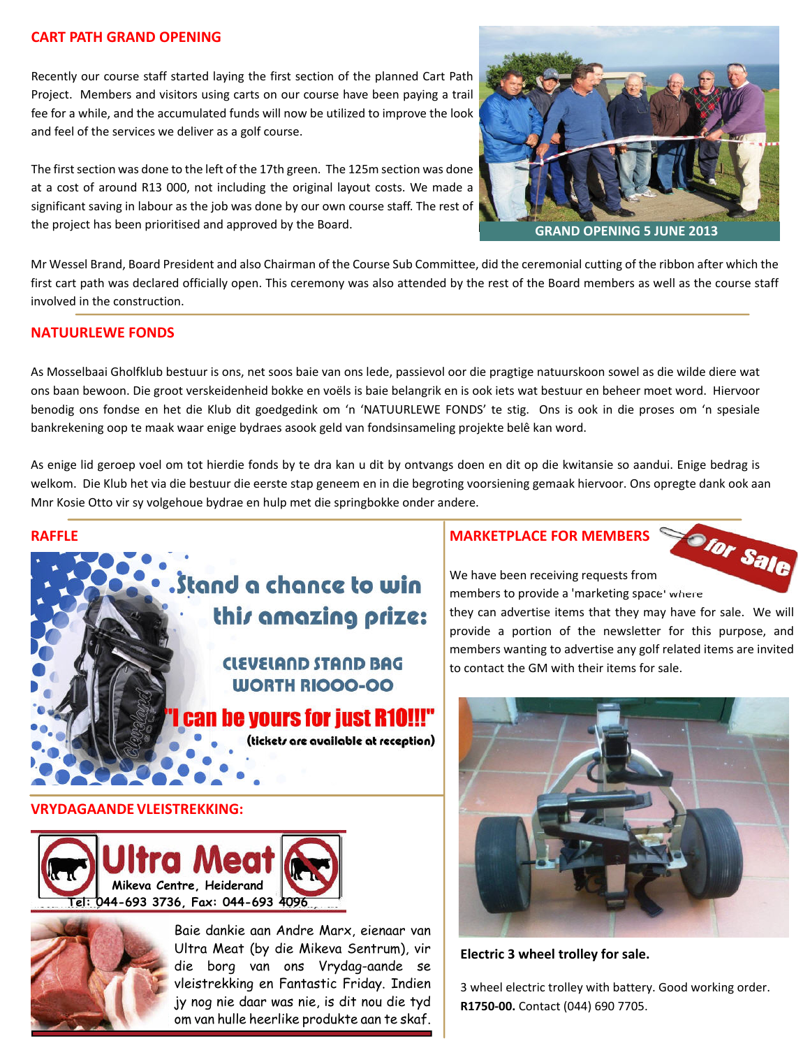## **CART PATH GRAND OPENING**

Recently our course staff started laying the first section of the planned Cart Path Project. Members and visitors using carts on our course have been paying a trail fee for a while, and the accumulated funds will now be utilized to improve the look and feel of the services we deliver as a golf course.

The first section was done to the left of the 17th green. The 125m section was done at a cost of around R13 000, not including the original layout costs. We made a significant saving in labour as the job was done by our own course staff. The rest of the project has been prioritised and approved by the Board.



Mr Wessel Brand, Board President and also Chairman of the Course Sub Committee, did the ceremonial cutting of the ribbon after which the first cart path was declared officially open. This ceremony was also attended by the rest of the Board members as well as the course staff involved in the construction.

## **NATUURLEWE FONDS**

As Mosselbaai Gholfklub bestuur is ons, net soos baie van ons lede, passievol oor die pragtige natuurskoon sowel as die wilde diere wat ons baan bewoon. Die groot verskeidenheid bokke en voëls is baie belangrik en is ook iets wat bestuur en beheer moet word. Hiervoor benodig ons fondse en het die Klub dit goedgedink om 'n 'NATUURLEWE FONDS' te stig. Ons is ook in die proses om 'n spesiale bankrekening oop te maak waar enige bydraes asook geld van fondsinsameling projekte belê kan word.

As enige lid geroep voel om tot hierdie fonds by te dra kan u dit by ontvangs doen en dit op die kwitansie so aandui. Enige bedrag is welkom. Die Klub het via die bestuur die eerste stap geneem en in die begroting voorsiening gemaak hiervoor. Ons opregte dank ook aan Mnr Kosie Otto vir sy volgehoue bydrae en hulp met die springbokke onder andere.



# . Stand a chance to win this amazing prize:

## **CLEVELAND STAND BAG WORTH RIOOO-OO**

n be vours for just R10!!!"

(tickets are available at reception)

#### **VRYDAGAANDE VLEISTREKKING:**





Baie dankie aan Andre Marx, eienaar van Ultra Meat (by die Mikeva Sentrum), vir die borg van ons Vrydag-aande se vleistrekking en Fantastic Friday. Indien jy nog nie daar was nie, is dit nou die tyd om van hulle heerlike produkte aan te skaf.

## **MARKETPLACE FOR MEMBERS**



We have been receiving requests from members to provide a 'marketing space' where

they can advertise items that they may have for sale. We will provide a portion of the newsletter for this purpose, and members wanting to advertise any golf related items are invited to contact the GM with their items for sale.



**Electric 3 wheel trolley for sale.**

3 wheel electric trolley with battery. Good working order. **R1750-00.** Contact (044) 690 7705.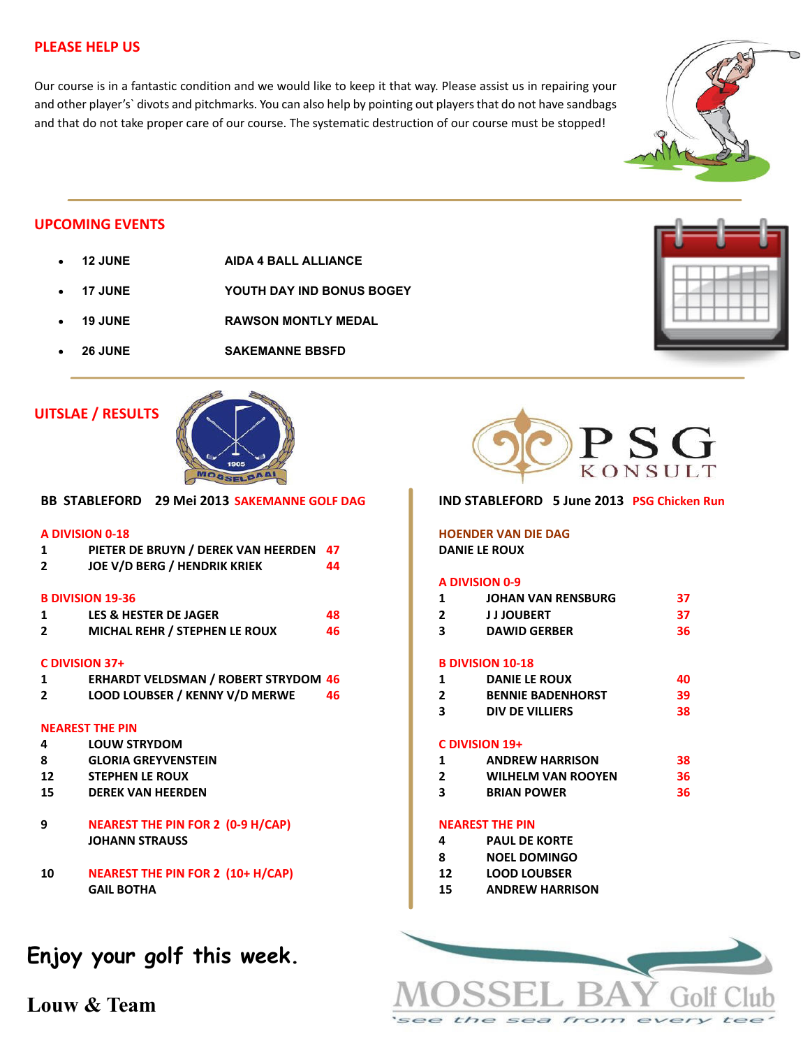## **PLEASE HELP US**

Our course is in a fantastic condition and we would like to keep it that way. Please assist us in repairing your and other player's` divots and pitchmarks. You can also help by pointing out players that do not have sandbags and that do not take proper care of our course. The systematic destruction of our course must be stopped!



## **UPCOMING EVENTS**

- **12 JUNE AIDA 4 BALL ALLIANCE**
- **17 JUNE YOUTH DAY IND BONUS BOGEY**
- **19 JUNE RAWSON MONTLY MEDAL**
- **26 JUNE SAKEMANNE BBSFD**

## **UITSLAE / RESULTS**



**BB STABLEFORD 29 Mei 2013 SAKEMANNE GOLF DAG A DIVISION 0-18**

| $\mathbf{1}$ | PIETER DE BRUYN / DEREK VAN HEERDEN 47                                                                                                                                                                                          |  |
|--------------|---------------------------------------------------------------------------------------------------------------------------------------------------------------------------------------------------------------------------------|--|
|              | $\sim$ . The contract of the contract of the contract of the contract of the contract of the contract of the contract of the contract of the contract of the contract of the contract of the contract of the contract of the co |  |

**2 JOE V/D BERG / HENDRIK KRIEK 44**

#### **B DIVISION 19-36**

|                         | LES & HESTER DE JAGER<br>MICHAL REHR / STEPHEN LE ROUX | 48 |
|-------------------------|--------------------------------------------------------|----|
| $\overline{\mathbf{2}}$ |                                                        | 46 |

#### **C DIVISION 37+**

**2 LOOD LOUBSER / KENNY V/D MERWE 46**

#### **NEAREST THE PIN**

- **4 LOUW STRYDOM**
- **8 GLORIA GREYVENSTEIN**
- **12 STEPHEN LE ROUX**
- **15 DEREK VAN HEERDEN**
- **9 NEAREST THE PIN FOR 2 (0-9 H/CAP) JOHANN STRAUSS**
- **10 NEAREST THE PIN FOR 2 (10+ H/CAP) GAIL BOTHA**

# **Enjoy your golf this week.**

**Louw & Team**



#### **IND STABLEFORD 5 June 2013 PSG Chicken Run**

## **HOENDER VAN DIE DAG**

**DANIE LE ROUX**

#### **A DIVISION 0-9**

| <b>JOHAN VAN RENSBURG</b> |  |
|---------------------------|--|
|                           |  |

**2 J J JOUBERT 37 3 DAWID GERBER 36**

### **B DIVISION 10-18**

- **1 DANIE LE ROUX 40**
- **2 BENNIE BADENHORST 39**
- **3 DIV DE VILLIERS 38**

#### **C DIVISION 19+**

- **1 ANDREW HARRISON 38**
- **2 WILHELM VAN ROOYEN 36**
- **3 BRIAN POWER 36**

### **NEAREST THE PIN**

- **4 PAUL DE KORTE**
- **8 NOEL DOMINGO**
- **12 LOOD LOUBSER**
- **15 ANDREW HARRISON**